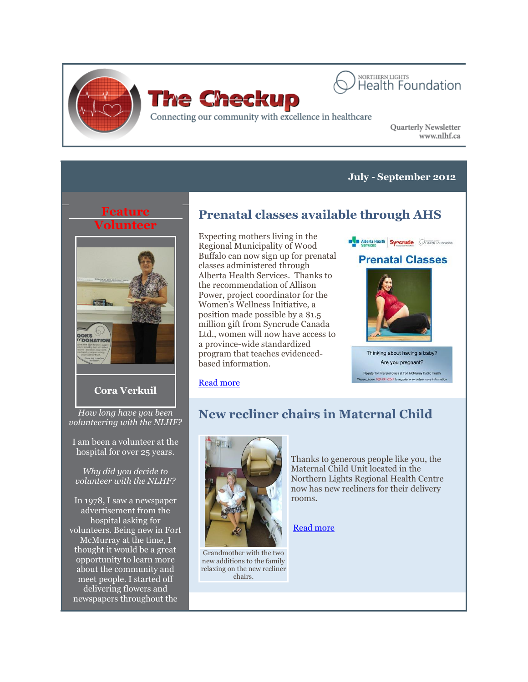



Connecting our community with excellence in healthcare

Quarterly Newsletter www.nlhf.ca

### **July - September 2012**

### **Feature Volunteer**



### **Cora Verkuil**

*How long have you been volunteering with the NLHF?*

I am been a volunteer at the hospital for over 25 years.

*Why did you decide to volunteer with the NLHF?*

In 1978, I saw a newspaper advertisement from the hospital asking for volunteers. Being new in Fort McMurray at the time, I thought it would be a great opportunity to learn more about the community and meet people. I started off delivering flowers and newspapers throughout the

# **Prenatal classes available through AHS**

Expecting mothers living in the Regional Municipality of Wood Buffalo can now sign up for prenatal classes administered through Alberta Health Services. Thanks to the recommendation of Allison Power, project coordinator for the Women's Wellness Initiative, a position made possible by a \$1.5 million gift from Syncrude Canada Ltd., women will now have access to a province-wide standardized program that teaches evidencedbased information.



Are you pregnant? for Prenatal Class at Fort McMurray Public H ne 780-791-5247 to register or to

#### [Read more](http://www.nlhealthfoundation.blogspot.ca/2012/10/prenatal-classes-available-through-ahs.html?utm_source=The+Checkup+-+September+2012&utm_campaign=CheckupSept2012&utm_medium=archive)

# **New recliner chairs in Maternal Child**



Grandmother with the two new additions to the family relaxing on the new recliner chairs.

Thanks to generous people like you, the Maternal Child Unit located in the Northern Lights Regional Health Centre now has new recliners for their delivery rooms.

[Read more](http://www.nlhealthfoundation.blogspot.ca/2012/10/new-recliner-chairs-in-maternal-child.html?utm_source=The+Checkup+-+September+2012&utm_campaign=CheckupSept2012&utm_medium=archive)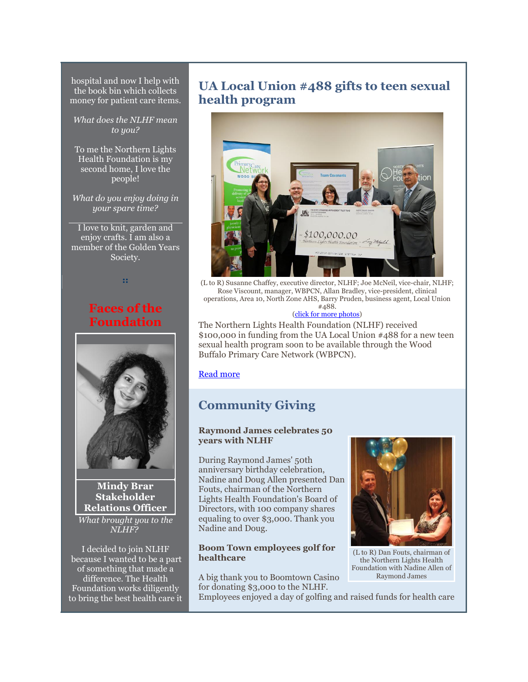hospital and now I help with the book bin which collects money for patient care items.

*What does the NLHF mean to you?*

To me the Northern Lights Health Foundation is my second home, I love the people!

*What do you enjoy doing in your spare time?*

I love to knit, garden and enjoy crafts. I am also a member of the Golden Years Society.

**::** 

## **Faces of the Foundation**



**Mindy Brar Stakeholder Relations Officer** *What brought you to the NLHF?*

I decided to join NLHF because I wanted to be a part of something that made a difference. The Health Foundation works diligently to bring the best health care it

## **UA Local Union #488 gifts to teen sexual health program**



(L to R) Susanne Chaffey, executive director, NLHF; Joe McNeil, vice-chair, NLHF; Rose Viscount, manager, WBPCN, Allan Bradley, vice-president, clinical operations, Area 10, North Zone AHS, Barry Pruden, business agent, Local Union #488.

#### [\(click for more photos\)](https://www.facebook.com/media/set/?set=a.512955335400555.134528.131969313499161&type=3)

The Northern Lights Health Foundation (NLHF) received \$100,000 in funding from the UA Local Union #488 for a new teen sexual health program soon to be available through the Wood Buffalo Primary Care Network (WBPCN).

[Read more](http://www.nlhealthfoundation.blogspot.ca/2012/10/ua-local-union-488-donation-gifts-to.html?utm_source=The+Checkup+-+September+2012&utm_campaign=CheckupSept2012&utm_medium=archive)

# **Community Giving**

#### **Raymond James celebrates 50 years with NLHF**

During Raymond James' 50th anniversary birthday celebration, Nadine and Doug Allen presented Dan Fouts, chairman of the Northern Lights Health Foundation's Board of Directors, with 100 company shares equaling to over \$3,000. Thank you Nadine and Doug.

#### **Boom Town employees golf for healthcare**

A big thank you to Boomtown Casino for donating \$3,000 to the NLHF.



(L to R) Dan Fouts, chairman of the Northern Lights Health Foundation with Nadine Allen of Raymond James

Employees enjoyed a day of golfing and raised funds for health care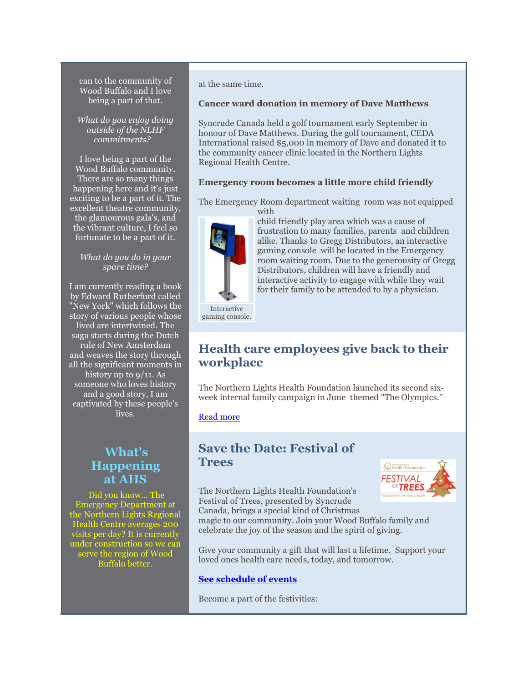can to the community of Wood Buffalo and I love being a part of that.

*What do you enjoy doing outside of the NLHF commitments?* 

I love being a part of the Wood Buffalo community. There are so many things happening here and it's just exciting to be a part of it. The excellent theatre community, the glamourous gala's, and the vibrant culture, I feel so fortunate to be a part of it.

#### *What do you do in your spare time?*

I am currently reading a book by Edward Rutherfurd called "New York" which follows the story of various people whose lived are intertwined. The saga starts during the Dutch rule of New Amsterdam and weaves the story through all the significant moments in history up to 9/11. As someone who loves history and a good story, I am captivated by these people's lives.

## **What's Happening at AHS**

Did you know... The Emergency Department at the Northern Lights Regional Health Centre averages 200 visits per day? It is currently under construction so we can serve the region of Wood Buffalo better.

at the same time.

#### **Cancer ward donation in memory of Dave Matthews**

Syncrude Canada held a golf tournament early September in honour of Dave Matthews. During the golf tournament, CEDA International raised \$5,000 in memory of Dave and donated it to the community cancer clinic located in the Northern Lights Regional Health Centre.

#### **Emergency room becomes a little more child friendly**

The Emergency Room department waiting room was not equipped with



child friendly play area which was a cause of frustration to many families, parents and children alike. Thanks to Gregg Distributors, an interactive gaming console will be located in the Emergency room waiting room. Due to the generousity of Gregg Distributors, children will have a friendly and interactive activity to engage with while they wait for their family to be attended to by a physician.

Interactive gaming console.

## **Health care employees give back to their workplace**

The Northern Lights Health Foundation launched its second sixweek internal family campaign in June themed "The Olympics."

[Read more](http://www.nlhealthfoundation.blogspot.ca/2012/10/health-care-employees-give-back-to.html?utm_source=The+Checkup+-+September+2012&utm_campaign=CheckupSept2012&utm_medium=archive)

### **Save the Date: Festival of Trees**

The Northern Lights Health Foundation's Festival of Trees, presented by Syncrude Canada, brings a special kind of Christmas



magic to our community. Join your Wood Buffalo family and celebrate the joy of the season and the spirit of giving.

Give your community a gift that will last a lifetime. Support your loved ones health care needs, today, and tomorrow.

#### **[See schedule of events](http://www.nlhealthfoundation.blogspot.ca/2012/10/save-date-festival-of-trees.html?utm_source=The+Checkup+-+September+2012&utm_campaign=CheckupSept2012&utm_medium=archive)**

Become a part of the festivities: